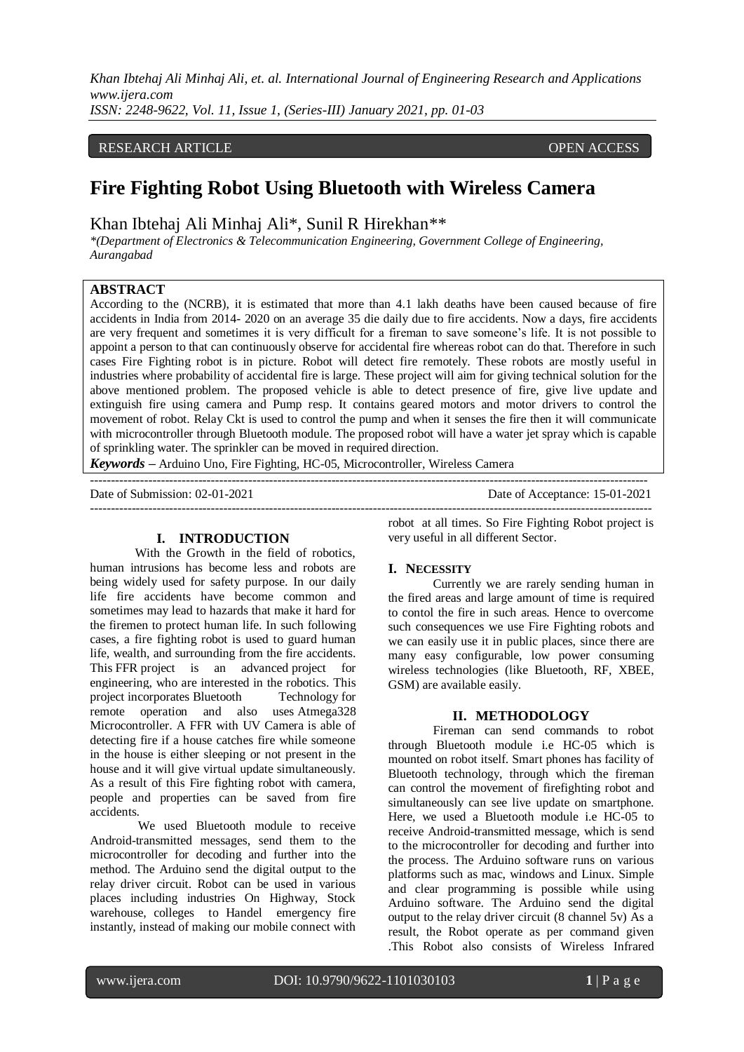*Khan Ibtehaj Ali Minhaj Ali, et. al. International Journal of Engineering Research and Applications www.ijera.com ISSN: 2248-9622, Vol. 11, Issue 1, (Series-III) January 2021, pp. 01-03*

RESEARCH ARTICLE **CONSERVERS** OPEN ACCESS

# **Fire Fighting Robot Using Bluetooth with Wireless Camera**

Khan Ibtehaj Ali Minhaj Ali\*, Sunil R Hirekhan\*\*

*\*(Department of Electronics & Telecommunication Engineering, Government College of Engineering, Aurangabad* 

## **ABSTRACT**

According to the (NCRB), it is estimated that more than 4.1 lakh deaths have been caused because of fire accidents in India from 2014- 2020 on an average 35 die daily due to fire accidents. Now a days, fire accidents are very frequent and sometimes it is very difficult for a fireman to save someone's life. It is not possible to appoint a person to that can continuously observe for accidental fire whereas robot can do that. Therefore in such cases Fire Fighting robot is in picture. Robot will detect fire remotely. These robots are mostly useful in industries where probability of accidental fire is large. These project will aim for giving technical solution for the above mentioned problem. The proposed vehicle is able to detect presence of fire, give live update and extinguish fire using camera and Pump resp. It contains geared motors and motor drivers to control the movement of robot. Relay Ckt is used to control the pump and when it senses the fire then it will communicate with microcontroller through Bluetooth module. The proposed robot will have a water jet spray which is capable of sprinkling water. The sprinkler can be moved in required direction.

--------------------------------------------------------------------------------------------------------------------------------------

---------------------------------------------------------------------------------------------------------------------------------------

*Keywords* **–** Arduino Uno, Fire Fighting, HC-05, Microcontroller, Wireless Camera

Date of Submission: 02-01-2021 Date of Acceptance: 15-01-2021

#### **I. INTRODUCTION**

With the Growth in the field of robotics, human intrusions has become less and robots are being widely used for safety purpose. In our daily life fire accidents have become common and sometimes may lead to hazards that make it hard for the firemen to protect human life. In such following cases, a fire fighting robot is used to guard human life, wealth, and surrounding from the fire accidents. This FFR project is an advanced project for engineering, who are interested in the robotics. This project incorporates Bluetooth Technology for remote operation and also uses Atmega328 Microcontroller. A FFR with UV Camera is able of detecting fire if a house catches fire while someone in the house is either sleeping or not present in the house and it will give virtual update simultaneously. As a result of this Fire fighting robot with camera, people and properties can be saved from fire accidents.

We used Bluetooth module to receive Android-transmitted messages, send them to the microcontroller for decoding and further into the method. The Arduino send the digital output to the relay driver circuit. Robot can be used in various places including industries On Highway, Stock warehouse, colleges to Handel emergency fire instantly, instead of making our mobile connect with

robot at all times. So Fire Fighting Robot project is very useful in all different Sector.

#### **I. NECESSITY**

Currently we are rarely sending human in the fired areas and large amount of time is required to contol the fire in such areas. Hence to overcome such consequences we use Fire Fighting robots and we can easily use it in public places, since there are many easy configurable, low power consuming wireless technologies (like Bluetooth, RF, XBEE, GSM) are available easily.

#### **II. METHODOLOGY**

Fireman can send commands to robot through Bluetooth module i.e HC-05 which is mounted on robot itself. Smart phones has facility of Bluetooth technology, through which the fireman can control the movement of firefighting robot and simultaneously can see live update on smartphone. Here, we used a Bluetooth module i.e HC-05 to receive Android-transmitted message, which is send to the microcontroller for decoding and further into the process. The Arduino software runs on various platforms such as mac, windows and Linux. Simple and clear programming is possible while using Arduino software. The Arduino send the digital output to the relay driver circuit (8 channel 5v) As a result, the Robot operate as per command given .This Robot also consists of Wireless Infrared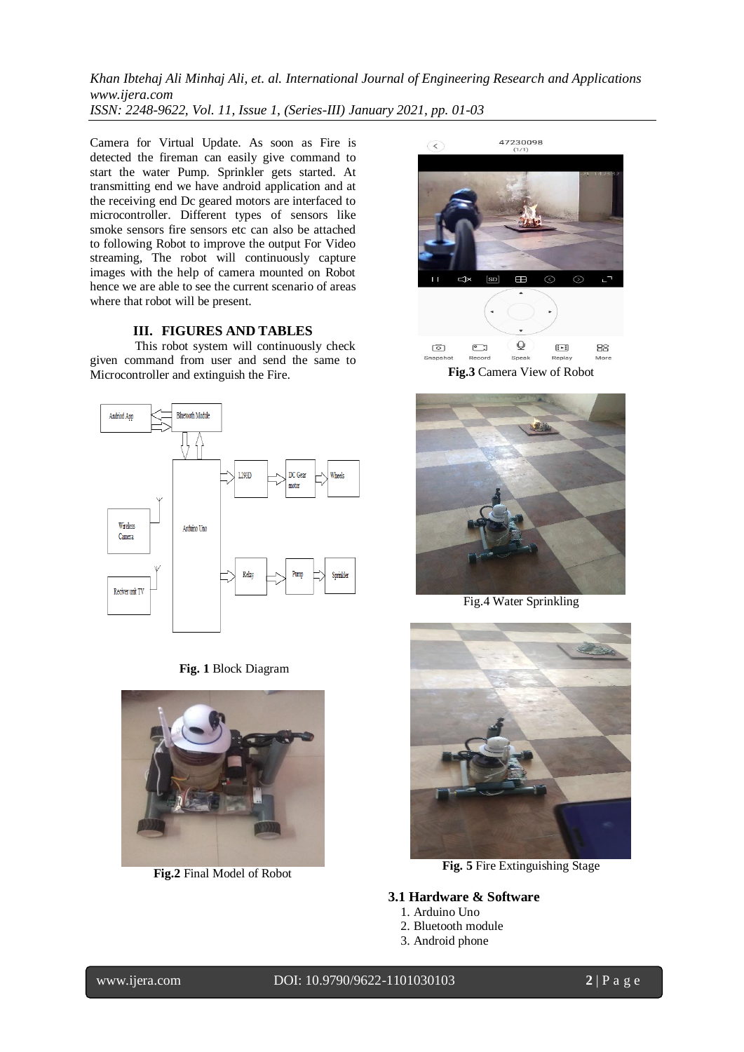*Khan Ibtehaj Ali Minhaj Ali, et. al. International Journal of Engineering Research and Applications www.ijera.com ISSN: 2248-9622, Vol. 11, Issue 1, (Series-III) January 2021, pp. 01-03*

Camera for Virtual Update. As soon as Fire is detected the fireman can easily give command to start the water Pump. Sprinkler gets started. At transmitting end we have android application and at the receiving end Dc geared motors are interfaced to microcontroller. Different types of sensors like smoke sensors fire sensors etc can also be attached to following Robot to improve the output For Video streaming, The robot will continuously capture images with the help of camera mounted on Robot hence we are able to see the current scenario of areas where that robot will be present.

#### **III. FIGURES AND TABLES**

This robot system will continuously check given command from user and send the same to Microcontroller and extinguish the Fire.



**Fig. 1** Block Diagram



**Fig.2** Final Model of Robot



**Fig.3** Camera View of Robot



Fig.4 Water Sprinkling



**Fig. 5** Fire Extinguishing Stage

#### **3.1 Hardware & Software**

- 1. Arduino Uno
- 2. Bluetooth module
- 3. Android phone